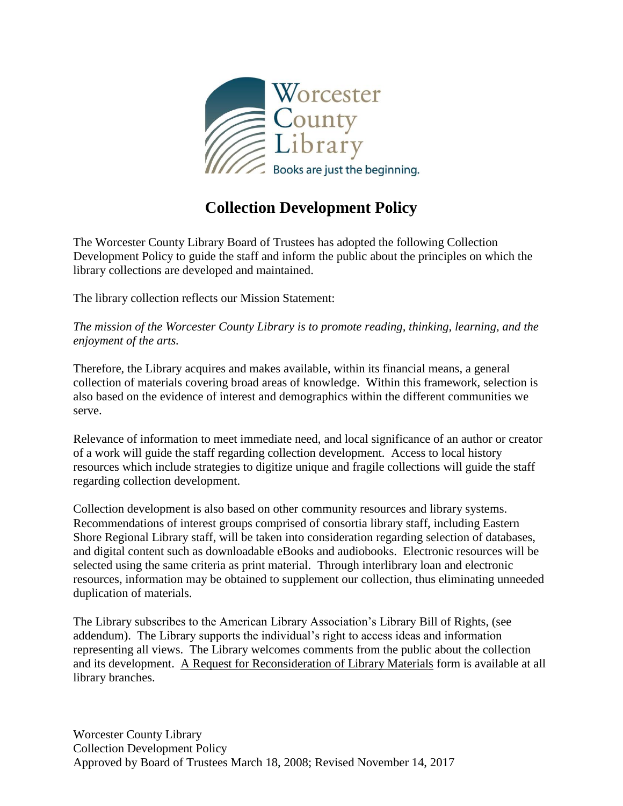

## **Collection Development Policy**

The Worcester County Library Board of Trustees has adopted the following Collection Development Policy to guide the staff and inform the public about the principles on which the library collections are developed and maintained.

The library collection reflects our Mission Statement:

*The mission of the Worcester County Library is to promote reading, thinking, learning, and the enjoyment of the arts.*

Therefore, the Library acquires and makes available, within its financial means, a general collection of materials covering broad areas of knowledge. Within this framework, selection is also based on the evidence of interest and demographics within the different communities we serve.

Relevance of information to meet immediate need, and local significance of an author or creator of a work will guide the staff regarding collection development. Access to local history resources which include strategies to digitize unique and fragile collections will guide the staff regarding collection development.

Collection development is also based on other community resources and library systems. Recommendations of interest groups comprised of consortia library staff, including Eastern Shore Regional Library staff, will be taken into consideration regarding selection of databases, and digital content such as downloadable eBooks and audiobooks. Electronic resources will be selected using the same criteria as print material. Through interlibrary loan and electronic resources, information may be obtained to supplement our collection, thus eliminating unneeded duplication of materials.

The Library subscribes to the American Library Association's Library Bill of Rights, (see addendum). The Library supports the individual's right to access ideas and information representing all views. The Library welcomes comments from the public about the collection and its development. A Request for Reconsideration of Library Materials form is available at all library branches.

Worcester County Library Collection Development Policy Approved by Board of Trustees March 18, 2008; Revised November 14, 2017